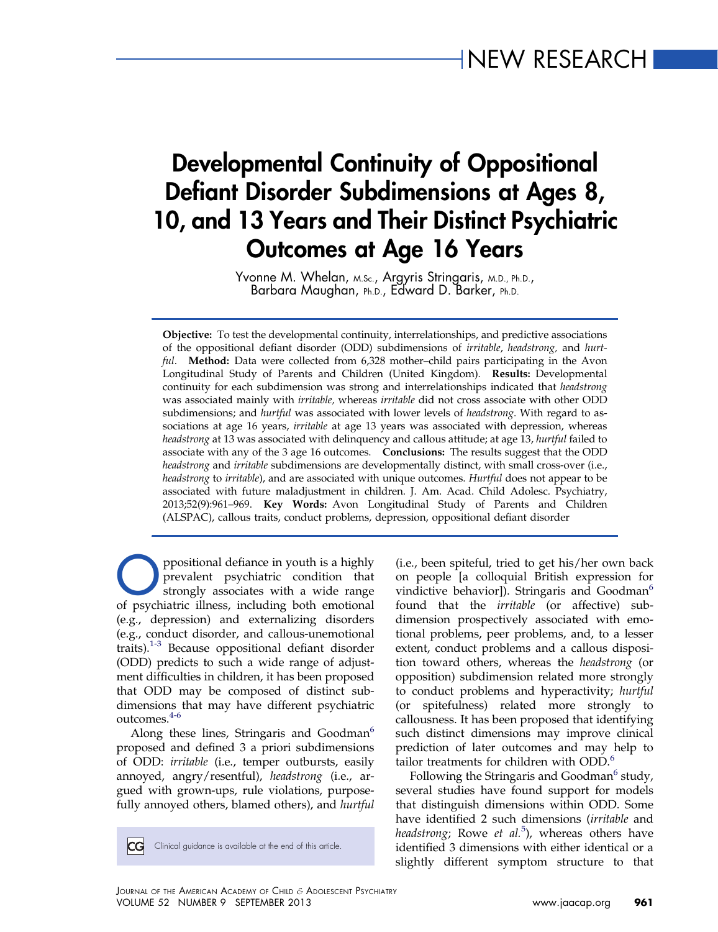# Developmental Continuity of Oppositional Defiant Disorder Subdimensions at Ages 8, 10, and 13 Years and Their Distinct Psychiatric Outcomes at Age 16 Years

Yvonne M. Whelan, M.Sc., Argyris Stringaris, M.D., Ph.D., Barbara Maughan, Ph.D., Edward D. Barker, Ph.D.

Objective: To test the developmental continuity, interrelationships, and predictive associations of the oppositional defiant disorder (ODD) subdimensions of irritable, headstrong, and hurtful. Method: Data were collected from 6,328 mother-child pairs participating in the Avon Longitudinal Study of Parents and Children (United Kingdom). Results: Developmental continuity for each subdimension was strong and interrelationships indicated that headstrong was associated mainly with irritable, whereas irritable did not cross associate with other ODD subdimensions; and *hurtful* was associated with lower levels of *headstrong*. With regard to associations at age 16 years, irritable at age 13 years was associated with depression, whereas headstrong at 13 was associated with delinquency and callous attitude; at age 13, hurtful failed to associate with any of the 3 age 16 outcomes. Conclusions: The results suggest that the ODD headstrong and irritable subdimensions are developmentally distinct, with small cross-over (i.e., headstrong to irritable), and are associated with unique outcomes. Hurtful does not appear to be associated with future maladjustment in children. J. Am. Acad. Child Adolesc. Psychiatry, 2013;52(9):961–969. Key Words: Avon Longitudinal Study of Parents and Children (ALSPAC), callous traits, conduct problems, depression, oppositional defiant disorder

ppositional defiance in youth is a highly prevalent psychiatric condition that strongly associates with a wide range of psychiatric illness, including both emotional (e.g., depression) and externalizing disorders (e.g., conduct disorder, and callous-unemotional traits). $1-3$  Because oppositional defiant disorder (ODD) predicts to such a wide range of adjustment difficulties in children, it has been proposed that ODD may be composed of distinct subdimensions that may have different psychiatric outcomes.4-6

Along these lines, Stringaris and Goodman<sup>6</sup> proposed and defined 3 a priori subdimensions of ODD: irritable (i.e., temper outbursts, easily annoyed, angry/resentful), headstrong (i.e., argued with grown-ups, rule violations, purposefully annoyed others, blamed others), and hurtful

 $|CG|$ Clinical guidance is available at the end of this article. (i.e., been spiteful, tried to get his/her own back on people [a colloquial British expression for vindictive behavior]). Stringaris and Goodman<sup>6</sup> found that the irritable (or affective) subdimension prospectively associated with emotional problems, peer problems, and, to a lesser extent, conduct problems and a callous disposition toward others, whereas the headstrong (or opposition) subdimension related more strongly to conduct problems and hyperactivity; hurtful (or spitefulness) related more strongly to callousness. It has been proposed that identifying such distinct dimensions may improve clinical prediction of later outcomes and may help to tailor treatments for children with ODD.<sup>6</sup>

Following the Stringaris and Goodman<sup>6</sup> study, several studies have found support for models that distinguish dimensions within ODD. Some have identified 2 such dimensions (irritable and headstrong; Rowe et al.<sup>5</sup>), whereas others have identified 3 dimensions with either identical or a slightly different symptom structure to that

JOURNAL OF THE AMERICAN ACADEMY OF CHILD & ADOLESCENT PSYCHIATRY VOLUME 52 NUMBER 9 SEPTEMBER 2013 [www.jaacap.org](http://www.jaacap.org) 961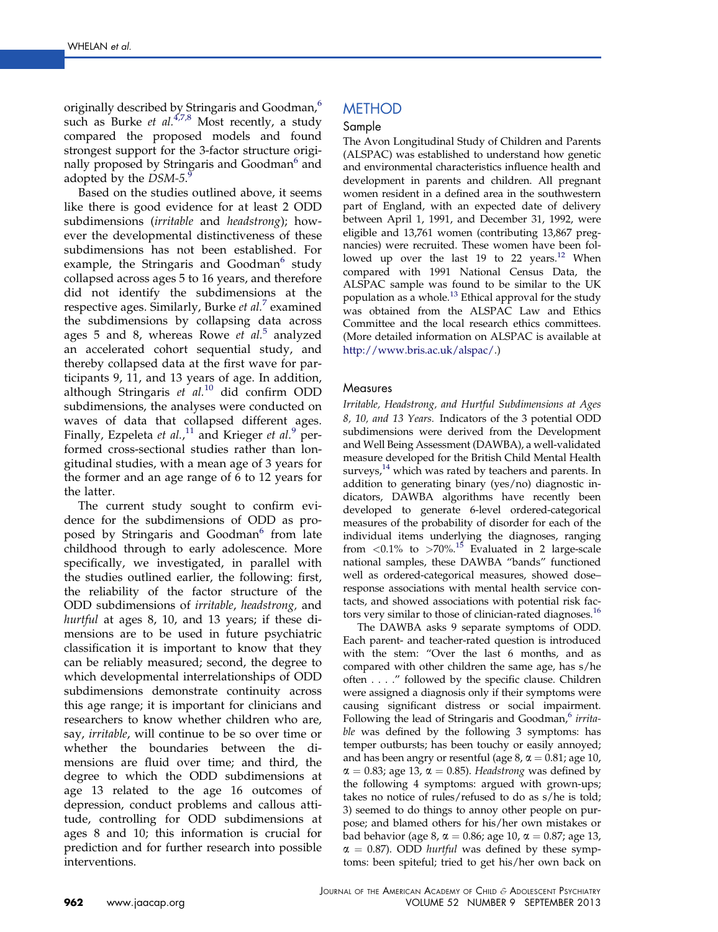originally described by Stringaris and Goodman,<sup>6</sup> such as Burke et al. $4.78$  Most recently, a study compared the proposed models and found strongest support for the 3-factor structure originally proposed by Stringaris and Goodman<sup>o</sup> and adopted by the  $DSM-5.9$ 

Based on the studies outlined above, it seems like there is good evidence for at least 2 ODD subdimensions (irritable and headstrong); however the developmental distinctiveness of these subdimensions has not been established. For example, the Stringaris and Goodman<sup>6</sup> study collapsed across ages 5 to 16 years, and therefore did not identify the subdimensions at the respective ages. Similarly, Burke  $et$   $al.^{7}$  examined the subdimensions by collapsing data across ages 5 and 8, whereas Rowe  $et$   $al.^5$  analyzed an accelerated cohort sequential study, and thereby collapsed data at the first wave for participants 9, 11, and 13 years of age. In addition, although Stringaris et  $al.^{10}$  did confirm ODD subdimensions, the analyses were conducted on waves of data that collapsed different ages. Finally, Ezpeleta et al.,<sup>11</sup> and Krieger et al.<sup>9</sup> performed cross-sectional studies rather than longitudinal studies, with a mean age of 3 years for the former and an age range of 6 to 12 years for the latter.

The current study sought to confirm evidence for the subdimensions of ODD as proposed by Stringaris and Goodman<sup>6</sup> from late childhood through to early adolescence. More specifically, we investigated, in parallel with the studies outlined earlier, the following: first, the reliability of the factor structure of the ODD subdimensions of irritable, headstrong, and hurtful at ages 8, 10, and 13 years; if these dimensions are to be used in future psychiatric classification it is important to know that they can be reliably measured; second, the degree to which developmental interrelationships of ODD subdimensions demonstrate continuity across this age range; it is important for clinicians and researchers to know whether children who are, say, irritable, will continue to be so over time or whether the boundaries between the dimensions are fluid over time; and third, the degree to which the ODD subdimensions at age 13 related to the age 16 outcomes of depression, conduct problems and callous attitude, controlling for ODD subdimensions at ages 8 and 10; this information is crucial for prediction and for further research into possible interventions.

### **METHOD**

#### Sample

The Avon Longitudinal Study of Children and Parents (ALSPAC) was established to understand how genetic and environmental characteristics influence health and development in parents and children. All pregnant women resident in a defined area in the southwestern part of England, with an expected date of delivery between April 1, 1991, and December 31, 1992, were eligible and 13,761 women (contributing 13,867 pregnancies) were recruited. These women have been followed up over the last 19 to 22 years.<sup>12</sup> When compared with 1991 National Census Data, the ALSPAC sample was found to be similar to the UK population as a whole.<sup>13</sup> Ethical approval for the study was obtained from the ALSPAC Law and Ethics Committee and the local research ethics committees. (More detailed information on ALSPAC is available at [http://www.bris.ac.uk/alspac/.](http://www.bris.ac.uk/alspac/))

#### **Measures**

Irritable, Headstrong, and Hurtful Subdimensions at Ages 8, 10, and 13 Years. Indicators of the 3 potential ODD subdimensions were derived from the Development and Well Being Assessment (DAWBA), a well-validated measure developed for the British Child Mental Health surveys,<sup>14</sup> which was rated by teachers and parents. In addition to generating binary (yes/no) diagnostic indicators, DAWBA algorithms have recently been developed to generate 6-level ordered-categorical measures of the probability of disorder for each of the individual items underlying the diagnoses, ranging from  $\langle 0.1\%$  to  $>70\%$ .<sup>15</sup> Evaluated in 2 large-scale national samples, these DAWBA "bands" functioned well as ordered-categorical measures, showed dose– response associations with mental health service contacts, and showed associations with potential risk factors very similar to those of clinician-rated diagnoses.<sup>16</sup>

The DAWBA asks 9 separate symptoms of ODD. Each parent- and teacher-rated question is introduced with the stem: "Over the last 6 months, and as compared with other children the same age, has s/he often . . . ." followed by the specific clause. Children were assigned a diagnosis only if their symptoms were causing significant distress or social impairment. Following the lead of Stringaris and Goodman,<sup>6</sup> irritable was defined by the following 3 symptoms: has temper outbursts; has been touchy or easily annoyed; and has been angry or resentful (age  $8$ ,  $\alpha = 0.81$ ; age 10,  $\alpha = 0.83$ ; age 13,  $\alpha = 0.85$ ). Headstrong was defined by the following 4 symptoms: argued with grown-ups; takes no notice of rules/refused to do as s/he is told; 3) seemed to do things to annoy other people on purpose; and blamed others for his/her own mistakes or bad behavior (age 8,  $\alpha = 0.86$ ; age 10,  $\alpha = 0.87$ ; age 13,  $\alpha = 0.87$ ). ODD *hurtful* was defined by these symptoms: been spiteful; tried to get his/her own back on